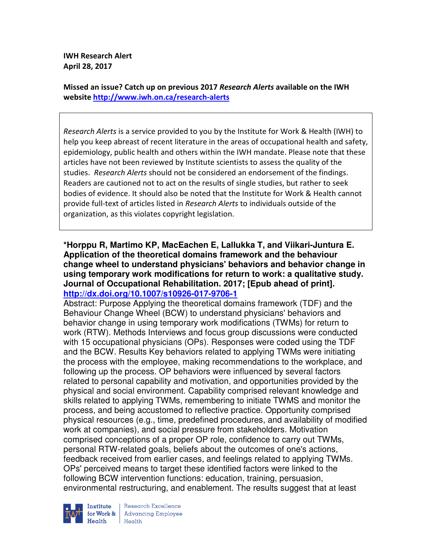**IWH Research Alert April 28, 2017** 

**Missed an issue? Catch up on previous 2017** *Research Alerts* **available on the IWH website http://www.iwh.on.ca/research-alerts**

*Research Alerts* is a service provided to you by the Institute for Work & Health (IWH) to help you keep abreast of recent literature in the areas of occupational health and safety, epidemiology, public health and others within the IWH mandate. Please note that these articles have not been reviewed by Institute scientists to assess the quality of the studies. *Research Alerts* should not be considered an endorsement of the findings. Readers are cautioned not to act on the results of single studies, but rather to seek bodies of evidence. It should also be noted that the Institute for Work & Health cannot provide full-text of articles listed in *Research Alerts* to individuals outside of the organization, as this violates copyright legislation.

**\*Horppu R, Martimo KP, MacEachen E, Lallukka T, and Viikari-Juntura E. Application of the theoretical domains framework and the behaviour change wheel to understand physicians' behaviors and behavior change in using temporary work modifications for return to work: a qualitative study. Journal of Occupational Rehabilitation. 2017; [Epub ahead of print]. http://dx.doi.org/10.1007/s10926-017-9706-1** 

Abstract: Purpose Applying the theoretical domains framework (TDF) and the Behaviour Change Wheel (BCW) to understand physicians' behaviors and behavior change in using temporary work modifications (TWMs) for return to work (RTW). Methods Interviews and focus group discussions were conducted with 15 occupational physicians (OPs). Responses were coded using the TDF and the BCW. Results Key behaviors related to applying TWMs were initiating the process with the employee, making recommendations to the workplace, and following up the process. OP behaviors were influenced by several factors related to personal capability and motivation, and opportunities provided by the physical and social environment. Capability comprised relevant knowledge and skills related to applying TWMs, remembering to initiate TWMS and monitor the process, and being accustomed to reflective practice. Opportunity comprised physical resources (e.g., time, predefined procedures, and availability of modified work at companies), and social pressure from stakeholders. Motivation comprised conceptions of a proper OP role, confidence to carry out TWMs, personal RTW-related goals, beliefs about the outcomes of one's actions, feedback received from earlier cases, and feelings related to applying TWMs. OPs' perceived means to target these identified factors were linked to the following BCW intervention functions: education, training, persuasion, environmental restructuring, and enablement. The results suggest that at least



Research Excellence **Institute** Research Excellence<br> **for Work &** Advancing Employee Health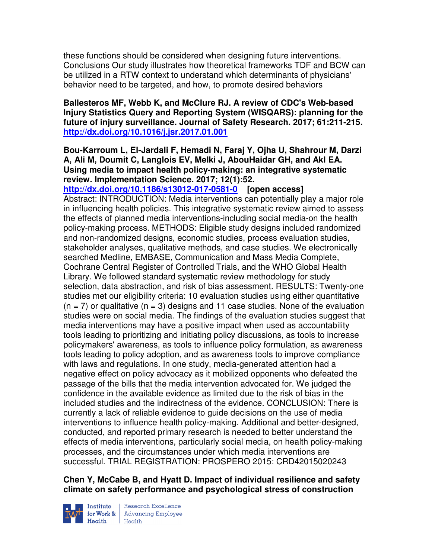these functions should be considered when designing future interventions. Conclusions Our study illustrates how theoretical frameworks TDF and BCW can be utilized in a RTW context to understand which determinants of physicians' behavior need to be targeted, and how, to promote desired behaviors

**Ballesteros MF, Webb K, and McClure RJ. A review of CDC's Web-based Injury Statistics Query and Reporting System (WISQARS): planning for the future of injury surveillance. Journal of Safety Research. 2017; 61:211-215. http://dx.doi.org/10.1016/j.jsr.2017.01.001** 

# **Bou-Karroum L, El-Jardali F, Hemadi N, Faraj Y, Ojha U, Shahrour M, Darzi A, Ali M, Doumit C, Langlois EV, Melki J, AbouHaidar GH, and Akl EA. Using media to impact health policy-making: an integrative systematic review. Implementation Science. 2017; 12(1):52.**

**http://dx.doi.org/10.1186/s13012-017-0581-0 [open access]** Abstract: INTRODUCTION: Media interventions can potentially play a major role in influencing health policies. This integrative systematic review aimed to assess the effects of planned media interventions-including social media-on the health policy-making process. METHODS: Eligible study designs included randomized and non-randomized designs, economic studies, process evaluation studies, stakeholder analyses, qualitative methods, and case studies. We electronically searched Medline, EMBASE, Communication and Mass Media Complete, Cochrane Central Register of Controlled Trials, and the WHO Global Health Library. We followed standard systematic review methodology for study selection, data abstraction, and risk of bias assessment. RESULTS: Twenty-one studies met our eligibility criteria: 10 evaluation studies using either quantitative  $(n = 7)$  or qualitative  $(n = 3)$  designs and 11 case studies. None of the evaluation studies were on social media. The findings of the evaluation studies suggest that media interventions may have a positive impact when used as accountability tools leading to prioritizing and initiating policy discussions, as tools to increase policymakers' awareness, as tools to influence policy formulation, as awareness tools leading to policy adoption, and as awareness tools to improve compliance with laws and regulations. In one study, media-generated attention had a negative effect on policy advocacy as it mobilized opponents who defeated the passage of the bills that the media intervention advocated for. We judged the confidence in the available evidence as limited due to the risk of bias in the included studies and the indirectness of the evidence. CONCLUSION: There is currently a lack of reliable evidence to guide decisions on the use of media interventions to influence health policy-making. Additional and better-designed, conducted, and reported primary research is needed to better understand the effects of media interventions, particularly social media, on health policy-making processes, and the circumstances under which media interventions are successful. TRIAL REGISTRATION: PROSPERO 2015: CRD42015020243

# **Chen Y, McCabe B, and Hyatt D. Impact of individual resilience and safety climate on safety performance and psychological stress of construction**



Institute Research Excellence<br>for Work & Advancing Employee<br>Health Health  $Heath$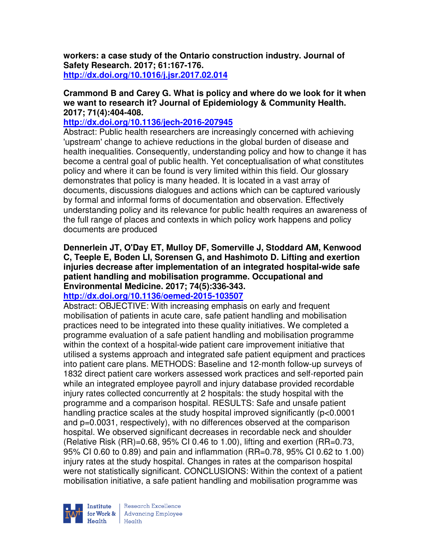**workers: a case study of the Ontario construction industry. Journal of Safety Research. 2017; 61:167-176. http://dx.doi.org/10.1016/j.jsr.2017.02.014** 

### **Crammond B and Carey G. What is policy and where do we look for it when we want to research it? Journal of Epidemiology & Community Health. 2017; 71(4):404-408.**

### **http://dx.doi.org/10.1136/jech-2016-207945**

Abstract: Public health researchers are increasingly concerned with achieving 'upstream' change to achieve reductions in the global burden of disease and health inequalities. Consequently, understanding policy and how to change it has become a central goal of public health. Yet conceptualisation of what constitutes policy and where it can be found is very limited within this field. Our glossary demonstrates that policy is many headed. It is located in a vast array of documents, discussions dialogues and actions which can be captured variously by formal and informal forms of documentation and observation. Effectively understanding policy and its relevance for public health requires an awareness of the full range of places and contexts in which policy work happens and policy documents are produced

#### **Dennerlein JT, O'Day ET, Mulloy DF, Somerville J, Stoddard AM, Kenwood C, Teeple E, Boden LI, Sorensen G, and Hashimoto D. Lifting and exertion injuries decrease after implementation of an integrated hospital-wide safe patient handling and mobilisation programme. Occupational and Environmental Medicine. 2017; 74(5):336-343.**

# **http://dx.doi.org/10.1136/oemed-2015-103507**

Abstract: OBJECTIVE: With increasing emphasis on early and frequent mobilisation of patients in acute care, safe patient handling and mobilisation practices need to be integrated into these quality initiatives. We completed a programme evaluation of a safe patient handling and mobilisation programme within the context of a hospital-wide patient care improvement initiative that utilised a systems approach and integrated safe patient equipment and practices into patient care plans. METHODS: Baseline and 12-month follow-up surveys of 1832 direct patient care workers assessed work practices and self-reported pain while an integrated employee payroll and injury database provided recordable injury rates collected concurrently at 2 hospitals: the study hospital with the programme and a comparison hospital. RESULTS: Safe and unsafe patient handling practice scales at the study hospital improved significantly (p<0.0001 and p=0.0031, respectively), with no differences observed at the comparison hospital. We observed significant decreases in recordable neck and shoulder (Relative Risk  $(RR) = 0.68$ , 95% CI 0.46 to 1.00), lifting and exertion  $(RR = 0.73)$ , 95% CI 0.60 to 0.89) and pain and inflammation (RR=0.78, 95% CI 0.62 to 1.00) injury rates at the study hospital. Changes in rates at the comparison hospital were not statistically significant. CONCLUSIONS: Within the context of a patient mobilisation initiative, a safe patient handling and mobilisation programme was

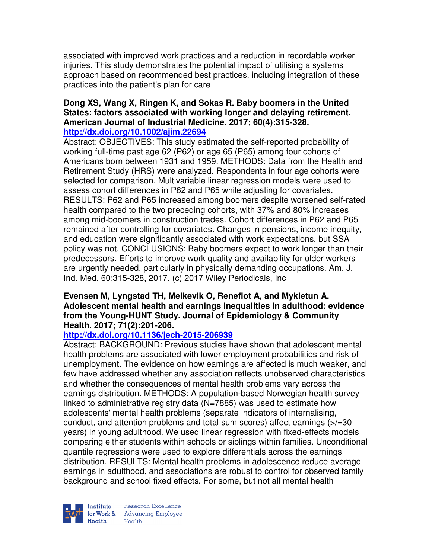associated with improved work practices and a reduction in recordable worker injuries. This study demonstrates the potential impact of utilising a systems approach based on recommended best practices, including integration of these practices into the patient's plan for care

# **Dong XS, Wang X, Ringen K, and Sokas R. Baby boomers in the United States: factors associated with working longer and delaying retirement. American Journal of Industrial Medicine. 2017; 60(4):315-328.**

### **http://dx.doi.org/10.1002/ajim.22694**

Abstract: OBJECTIVES: This study estimated the self-reported probability of working full-time past age 62 (P62) or age 65 (P65) among four cohorts of Americans born between 1931 and 1959. METHODS: Data from the Health and Retirement Study (HRS) were analyzed. Respondents in four age cohorts were selected for comparison. Multivariable linear regression models were used to assess cohort differences in P62 and P65 while adjusting for covariates. RESULTS: P62 and P65 increased among boomers despite worsened self-rated health compared to the two preceding cohorts, with 37% and 80% increases among mid-boomers in construction trades. Cohort differences in P62 and P65 remained after controlling for covariates. Changes in pensions, income inequity, and education were significantly associated with work expectations, but SSA policy was not. CONCLUSIONS: Baby boomers expect to work longer than their predecessors. Efforts to improve work quality and availability for older workers are urgently needed, particularly in physically demanding occupations. Am. J. Ind. Med. 60:315-328, 2017. (c) 2017 Wiley Periodicals, Inc

#### **Evensen M, Lyngstad TH, Melkevik O, Reneflot A, and Mykletun A. Adolescent mental health and earnings inequalities in adulthood: evidence from the Young-HUNT Study. Journal of Epidemiology & Community Health. 2017; 71(2):201-206.**

# **http://dx.doi.org/10.1136/jech-2015-206939**

Abstract: BACKGROUND: Previous studies have shown that adolescent mental health problems are associated with lower employment probabilities and risk of unemployment. The evidence on how earnings are affected is much weaker, and few have addressed whether any association reflects unobserved characteristics and whether the consequences of mental health problems vary across the earnings distribution. METHODS: A population-based Norwegian health survey linked to administrative registry data (N=7885) was used to estimate how adolescents' mental health problems (separate indicators of internalising, conduct, and attention problems and total sum scores) affect earnings (>/=30 years) in young adulthood. We used linear regression with fixed-effects models comparing either students within schools or siblings within families. Unconditional quantile regressions were used to explore differentials across the earnings distribution. RESULTS: Mental health problems in adolescence reduce average earnings in adulthood, and associations are robust to control for observed family background and school fixed effects. For some, but not all mental health

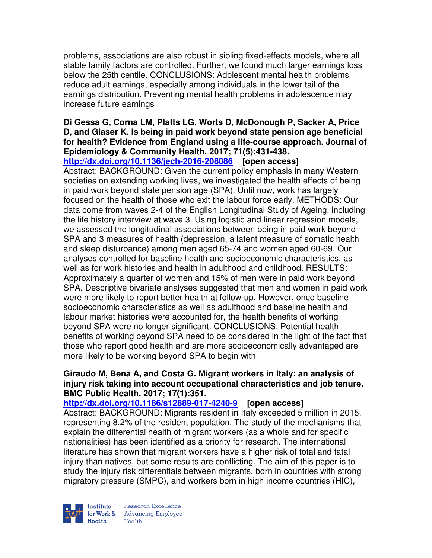problems, associations are also robust in sibling fixed-effects models, where all stable family factors are controlled. Further, we found much larger earnings loss below the 25th centile. CONCLUSIONS: Adolescent mental health problems reduce adult earnings, especially among individuals in the lower tail of the earnings distribution. Preventing mental health problems in adolescence may increase future earnings

# **Di Gessa G, Corna LM, Platts LG, Worts D, McDonough P, Sacker A, Price D, and Glaser K. Is being in paid work beyond state pension age beneficial for health? Evidence from England using a life-course approach. Journal of Epidemiology & Community Health. 2017; 71(5):431-438.**

**http://dx.doi.org/10.1136/jech-2016-208086 [open access]** Abstract: BACKGROUND: Given the current policy emphasis in many Western societies on extending working lives, we investigated the health effects of being in paid work beyond state pension age (SPA). Until now, work has largely focused on the health of those who exit the labour force early. METHODS: Our data come from waves 2-4 of the English Longitudinal Study of Ageing, including the life history interview at wave 3. Using logistic and linear regression models, we assessed the longitudinal associations between being in paid work beyond SPA and 3 measures of health (depression, a latent measure of somatic health and sleep disturbance) among men aged 65-74 and women aged 60-69. Our analyses controlled for baseline health and socioeconomic characteristics, as well as for work histories and health in adulthood and childhood. RESULTS: Approximately a quarter of women and 15% of men were in paid work beyond SPA. Descriptive bivariate analyses suggested that men and women in paid work were more likely to report better health at follow-up. However, once baseline socioeconomic characteristics as well as adulthood and baseline health and labour market histories were accounted for, the health benefits of working beyond SPA were no longer significant. CONCLUSIONS: Potential health benefits of working beyond SPA need to be considered in the light of the fact that those who report good health and are more socioeconomically advantaged are more likely to be working beyond SPA to begin with

#### **Giraudo M, Bena A, and Costa G. Migrant workers in Italy: an analysis of injury risk taking into account occupational characteristics and job tenure. BMC Public Health. 2017; 17(1):351.**

#### **http://dx.doi.org/10.1186/s12889-017-4240-9 [open access]**

Abstract: BACKGROUND: Migrants resident in Italy exceeded 5 million in 2015, representing 8.2% of the resident population. The study of the mechanisms that explain the differential health of migrant workers (as a whole and for specific nationalities) has been identified as a priority for research. The international literature has shown that migrant workers have a higher risk of total and fatal injury than natives, but some results are conflicting. The aim of this paper is to study the injury risk differentials between migrants, born in countries with strong migratory pressure (SMPC), and workers born in high income countries (HIC),

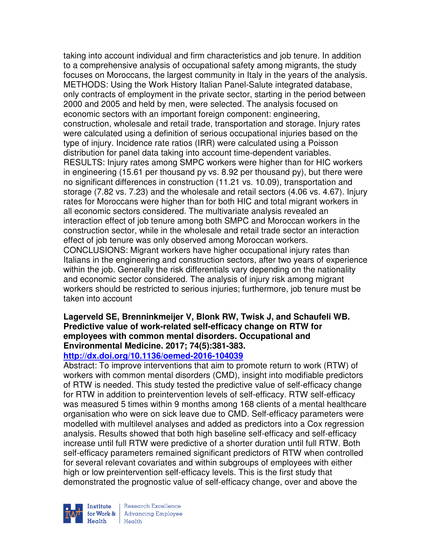taking into account individual and firm characteristics and job tenure. In addition to a comprehensive analysis of occupational safety among migrants, the study focuses on Moroccans, the largest community in Italy in the years of the analysis. METHODS: Using the Work History Italian Panel-Salute integrated database, only contracts of employment in the private sector, starting in the period between 2000 and 2005 and held by men, were selected. The analysis focused on economic sectors with an important foreign component: engineering, construction, wholesale and retail trade, transportation and storage. Injury rates were calculated using a definition of serious occupational injuries based on the type of injury. Incidence rate ratios (IRR) were calculated using a Poisson distribution for panel data taking into account time-dependent variables. RESULTS: Injury rates among SMPC workers were higher than for HIC workers in engineering (15.61 per thousand py vs. 8.92 per thousand py), but there were no significant differences in construction (11.21 vs. 10.09), transportation and storage (7.82 vs. 7.23) and the wholesale and retail sectors (4.06 vs. 4.67). Injury rates for Moroccans were higher than for both HIC and total migrant workers in all economic sectors considered. The multivariate analysis revealed an interaction effect of job tenure among both SMPC and Moroccan workers in the construction sector, while in the wholesale and retail trade sector an interaction effect of job tenure was only observed among Moroccan workers. CONCLUSIONS: Migrant workers have higher occupational injury rates than Italians in the engineering and construction sectors, after two years of experience within the job. Generally the risk differentials vary depending on the nationality and economic sector considered. The analysis of injury risk among migrant workers should be restricted to serious injuries; furthermore, job tenure must be taken into account

### **Lagerveld SE, Brenninkmeijer V, Blonk RW, Twisk J, and Schaufeli WB. Predictive value of work-related self-efficacy change on RTW for employees with common mental disorders. Occupational and Environmental Medicine. 2017; 74(5):381-383.**

#### **http://dx.doi.org/10.1136/oemed-2016-104039**

Abstract: To improve interventions that aim to promote return to work (RTW) of workers with common mental disorders (CMD), insight into modifiable predictors of RTW is needed. This study tested the predictive value of self-efficacy change for RTW in addition to preintervention levels of self-efficacy. RTW self-efficacy was measured 5 times within 9 months among 168 clients of a mental healthcare organisation who were on sick leave due to CMD. Self-efficacy parameters were modelled with multilevel analyses and added as predictors into a Cox regression analysis. Results showed that both high baseline self-efficacy and self-efficacy increase until full RTW were predictive of a shorter duration until full RTW. Both self-efficacy parameters remained significant predictors of RTW when controlled for several relevant covariates and within subgroups of employees with either high or low preintervention self-efficacy levels. This is the first study that demonstrated the prognostic value of self-efficacy change, over and above the

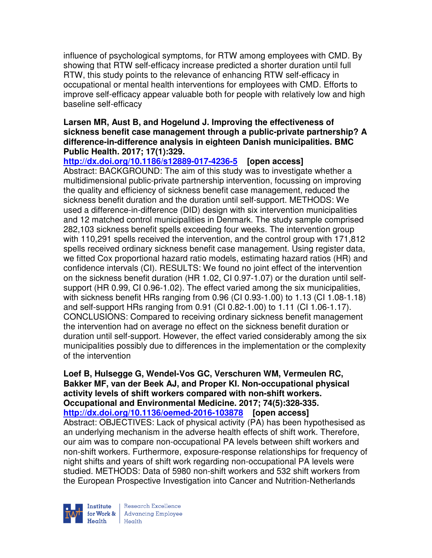influence of psychological symptoms, for RTW among employees with CMD. By showing that RTW self-efficacy increase predicted a shorter duration until full RTW, this study points to the relevance of enhancing RTW self-efficacy in occupational or mental health interventions for employees with CMD. Efforts to improve self-efficacy appear valuable both for people with relatively low and high baseline self-efficacy

#### **Larsen MR, Aust B, and Hogelund J. Improving the effectiveness of sickness benefit case management through a public-private partnership? A difference-in-difference analysis in eighteen Danish municipalities. BMC Public Health. 2017; 17(1):329.**

**http://dx.doi.org/10.1186/s12889-017-4236-5 [open access]** Abstract: BACKGROUND: The aim of this study was to investigate whether a multidimensional public-private partnership intervention, focussing on improving the quality and efficiency of sickness benefit case management, reduced the sickness benefit duration and the duration until self-support. METHODS: We used a difference-in-difference (DID) design with six intervention municipalities and 12 matched control municipalities in Denmark. The study sample comprised 282,103 sickness benefit spells exceeding four weeks. The intervention group with 110,291 spells received the intervention, and the control group with 171,812 spells received ordinary sickness benefit case management. Using register data, we fitted Cox proportional hazard ratio models, estimating hazard ratios (HR) and confidence intervals (CI). RESULTS: We found no joint effect of the intervention on the sickness benefit duration (HR 1.02, CI 0.97-1.07) or the duration until selfsupport (HR 0.99, CI 0.96-1.02). The effect varied among the six municipalities, with sickness benefit HRs ranging from 0.96 (CI 0.93-1.00) to 1.13 (CI 1.08-1.18) and self-support HRs ranging from 0.91 (CI 0.82-1.00) to 1.11 (CI 1.06-1.17). CONCLUSIONS: Compared to receiving ordinary sickness benefit management the intervention had on average no effect on the sickness benefit duration or duration until self-support. However, the effect varied considerably among the six municipalities possibly due to differences in the implementation or the complexity of the intervention

**Loef B, Hulsegge G, Wendel-Vos GC, Verschuren WM, Vermeulen RC, Bakker MF, van der Beek AJ, and Proper KI. Non-occupational physical activity levels of shift workers compared with non-shift workers. Occupational and Environmental Medicine. 2017; 74(5):328-335. http://dx.doi.org/10.1136/oemed-2016-103878 [open access]** Abstract: OBJECTIVES: Lack of physical activity (PA) has been hypothesised as an underlying mechanism in the adverse health effects of shift work. Therefore, our aim was to compare non-occupational PA levels between shift workers and non-shift workers. Furthermore, exposure-response relationships for frequency of night shifts and years of shift work regarding non-occupational PA levels were studied. METHODS: Data of 5980 non-shift workers and 532 shift workers from the European Prospective Investigation into Cancer and Nutrition-Netherlands

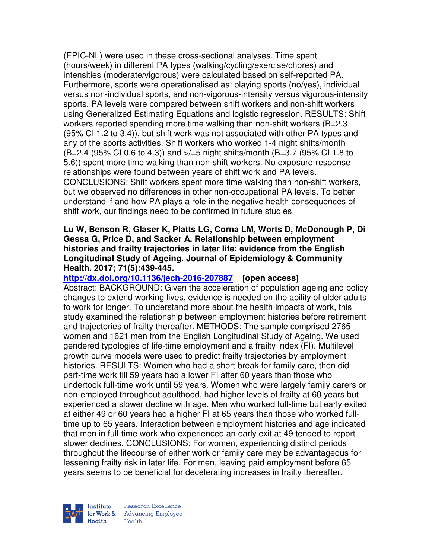(EPIC-NL) were used in these cross-sectional analyses. Time spent (hours/week) in different PA types (walking/cycling/exercise/chores) and intensities (moderate/vigorous) were calculated based on self-reported PA. Furthermore, sports were operationalised as: playing sports (no/yes), individual versus non-individual sports, and non-vigorous-intensity versus vigorous-intensity sports. PA levels were compared between shift workers and non-shift workers using Generalized Estimating Equations and logistic regression. RESULTS: Shift workers reported spending more time walking than non-shift workers (B=2.3 (95% CI 1.2 to 3.4)), but shift work was not associated with other PA types and any of the sports activities. Shift workers who worked 1-4 night shifts/month (B=2.4 (95% CI 0.6 to 4.3)) and >/=5 night shifts/month (B=3.7 (95% CI 1.8 to 5.6)) spent more time walking than non-shift workers. No exposure-response relationships were found between years of shift work and PA levels. CONCLUSIONS: Shift workers spent more time walking than non-shift workers, but we observed no differences in other non-occupational PA levels. To better understand if and how PA plays a role in the negative health consequences of shift work, our findings need to be confirmed in future studies

#### **Lu W, Benson R, Glaser K, Platts LG, Corna LM, Worts D, McDonough P, Di Gessa G, Price D, and Sacker A. Relationship between employment histories and frailty trajectories in later life: evidence from the English Longitudinal Study of Ageing. Journal of Epidemiology & Community Health. 2017; 71(5):439-445.**

**http://dx.doi.org/10.1136/jech-2016-207887 [open access]** Abstract: BACKGROUND: Given the acceleration of population ageing and policy changes to extend working lives, evidence is needed on the ability of older adults to work for longer. To understand more about the health impacts of work, this study examined the relationship between employment histories before retirement and trajectories of frailty thereafter. METHODS: The sample comprised 2765 women and 1621 men from the English Longitudinal Study of Ageing. We used gendered typologies of life-time employment and a frailty index (FI). Multilevel growth curve models were used to predict frailty trajectories by employment histories. RESULTS: Women who had a short break for family care, then did part-time work till 59 years had a lower FI after 60 years than those who undertook full-time work until 59 years. Women who were largely family carers or non-employed throughout adulthood, had higher levels of frailty at 60 years but experienced a slower decline with age. Men who worked full-time but early exited at either 49 or 60 years had a higher FI at 65 years than those who worked fulltime up to 65 years. Interaction between employment histories and age indicated that men in full-time work who experienced an early exit at 49 tended to report slower declines. CONCLUSIONS: For women, experiencing distinct periods throughout the lifecourse of either work or family care may be advantageous for lessening frailty risk in later life. For men, leaving paid employment before 65 years seems to be beneficial for decelerating increases in frailty thereafter.

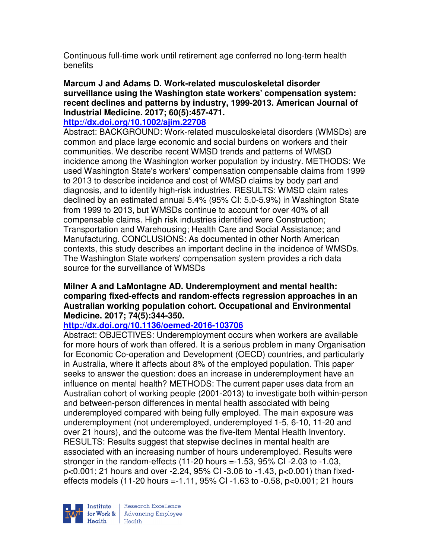Continuous full-time work until retirement age conferred no long-term health benefits

### **Marcum J and Adams D. Work-related musculoskeletal disorder surveillance using the Washington state workers' compensation system: recent declines and patterns by industry, 1999-2013. American Journal of Industrial Medicine. 2017; 60(5):457-471.**

### **http://dx.doi.org/10.1002/ajim.22708**

Abstract: BACKGROUND: Work-related musculoskeletal disorders (WMSDs) are common and place large economic and social burdens on workers and their communities. We describe recent WMSD trends and patterns of WMSD incidence among the Washington worker population by industry. METHODS: We used Washington State's workers' compensation compensable claims from 1999 to 2013 to describe incidence and cost of WMSD claims by body part and diagnosis, and to identify high-risk industries. RESULTS: WMSD claim rates declined by an estimated annual 5.4% (95% CI: 5.0-5.9%) in Washington State from 1999 to 2013, but WMSDs continue to account for over 40% of all compensable claims. High risk industries identified were Construction; Transportation and Warehousing; Health Care and Social Assistance; and Manufacturing. CONCLUSIONS: As documented in other North American contexts, this study describes an important decline in the incidence of WMSDs. The Washington State workers' compensation system provides a rich data source for the surveillance of WMSDs

#### **Milner A and LaMontagne AD. Underemployment and mental health: comparing fixed-effects and random-effects regression approaches in an Australian working population cohort. Occupational and Environmental Medicine. 2017; 74(5):344-350.**

# **http://dx.doi.org/10.1136/oemed-2016-103706**

Abstract: OBJECTIVES: Underemployment occurs when workers are available for more hours of work than offered. It is a serious problem in many Organisation for Economic Co-operation and Development (OECD) countries, and particularly in Australia, where it affects about 8% of the employed population. This paper seeks to answer the question: does an increase in underemployment have an influence on mental health? METHODS: The current paper uses data from an Australian cohort of working people (2001-2013) to investigate both within-person and between-person differences in mental health associated with being underemployed compared with being fully employed. The main exposure was underemployment (not underemployed, underemployed 1-5, 6-10, 11-20 and over 21 hours), and the outcome was the five-item Mental Health Inventory. RESULTS: Results suggest that stepwise declines in mental health are associated with an increasing number of hours underemployed. Results were stronger in the random-effects (11-20 hours =-1.53, 95% CI -2.03 to -1.03, p<0.001; 21 hours and over -2.24, 95% CI -3.06 to -1.43, p<0.001) than fixedeffects models (11-20 hours =-1.11, 95% CI -1.63 to -0.58, p<0.001; 21 hours

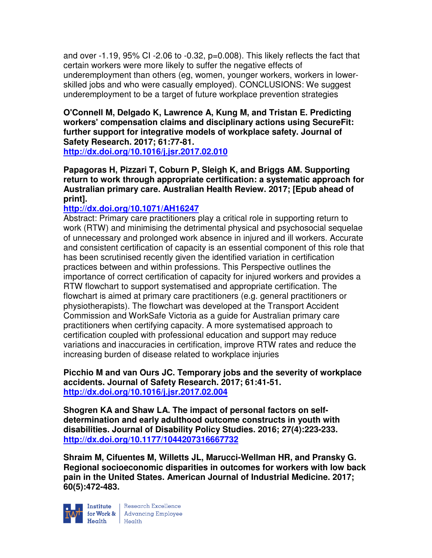and over -1.19, 95% CI -2.06 to -0.32, p=0.008). This likely reflects the fact that certain workers were more likely to suffer the negative effects of underemployment than others (eg, women, younger workers, workers in lowerskilled jobs and who were casually employed). CONCLUSIONS: We suggest underemployment to be a target of future workplace prevention strategies

#### **O'Connell M, Delgado K, Lawrence A, Kung M, and Tristan E. Predicting workers' compensation claims and disciplinary actions using SecureFit: further support for integrative models of workplace safety. Journal of Safety Research. 2017; 61:77-81. http://dx.doi.org/10.1016/j.jsr.2017.02.010**

**Papagoras H, Pizzari T, Coburn P, Sleigh K, and Briggs AM. Supporting return to work through appropriate certification: a systematic approach for Australian primary care. Australian Health Review. 2017; [Epub ahead of print].** 

# **http://dx.doi.org/10.1071/AH16247**

Abstract: Primary care practitioners play a critical role in supporting return to work (RTW) and minimising the detrimental physical and psychosocial sequelae of unnecessary and prolonged work absence in injured and ill workers. Accurate and consistent certification of capacity is an essential component of this role that has been scrutinised recently given the identified variation in certification practices between and within professions. This Perspective outlines the importance of correct certification of capacity for injured workers and provides a RTW flowchart to support systematised and appropriate certification. The flowchart is aimed at primary care practitioners (e.g. general practitioners or physiotherapists). The flowchart was developed at the Transport Accident Commission and WorkSafe Victoria as a guide for Australian primary care practitioners when certifying capacity. A more systematised approach to certification coupled with professional education and support may reduce variations and inaccuracies in certification, improve RTW rates and reduce the increasing burden of disease related to workplace injuries

**Picchio M and van Ours JC. Temporary jobs and the severity of workplace accidents. Journal of Safety Research. 2017; 61:41-51. http://dx.doi.org/10.1016/j.jsr.2017.02.004** 

**Shogren KA and Shaw LA. The impact of personal factors on selfdetermination and early adulthood outcome constructs in youth with disabilities. Journal of Disability Policy Studies. 2016; 27(4):223-233. http://dx.doi.org/10.1177/1044207316667732** 

**Shraim M, Cifuentes M, Willetts JL, Marucci-Wellman HR, and Pransky G. Regional socioeconomic disparities in outcomes for workers with low back pain in the United States. American Journal of Industrial Medicine. 2017; 60(5):472-483.** 



Institute Research Excellence<br>
for Work & Advancing Employee<br>
Health Health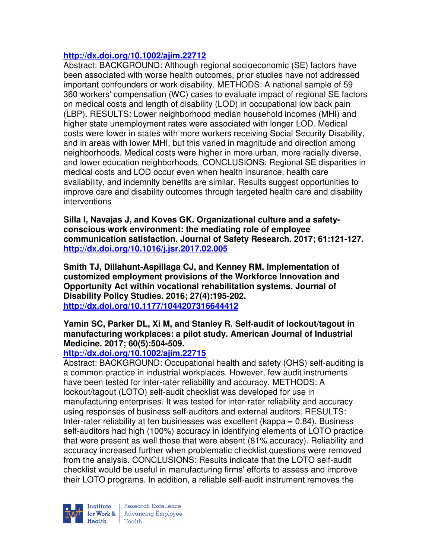### **http://dx.doi.org/10.1002/ajim.22712**

Abstract: BACKGROUND: Although regional socioeconomic (SE) factors have been associated with worse health outcomes, prior studies have not addressed important confounders or work disability. METHODS: A national sample of 59 360 workers' compensation (WC) cases to evaluate impact of regional SE factors on medical costs and length of disability (LOD) in occupational low back pain (LBP). RESULTS: Lower neighborhood median household incomes (MHI) and higher state unemployment rates were associated with longer LOD. Medical costs were lower in states with more workers receiving Social Security Disability, and in areas with lower MHI, but this varied in magnitude and direction among neighborhoods. Medical costs were higher in more urban, more racially diverse, and lower education neighborhoods. CONCLUSIONS: Regional SE disparities in medical costs and LOD occur even when health insurance, health care availability, and indemnity benefits are similar. Results suggest opportunities to improve care and disability outcomes through targeted health care and disability interventions

**Silla I, Navajas J, and Koves GK. Organizational culture and a safetyconscious work environment: the mediating role of employee communication satisfaction. Journal of Safety Research. 2017; 61:121-127. http://dx.doi.org/10.1016/j.jsr.2017.02.005** 

**Smith TJ, Dillahunt-Aspillaga CJ, and Kenney RM. Implementation of customized employment provisions of the Workforce Innovation and Opportunity Act within vocational rehabilitation systems. Journal of Disability Policy Studies. 2016; 27(4):195-202. http://dx.doi.org/10.1177/1044207316644412** 

#### **Yamin SC, Parker DL, Xi M, and Stanley R. Self-audit of lockout/tagout in manufacturing workplaces: a pilot study. American Journal of Industrial Medicine. 2017; 60(5):504-509.**

#### **http://dx.doi.org/10.1002/ajim.22715**

Abstract: BACKGROUND: Occupational health and safety (OHS) self-auditing is a common practice in industrial workplaces. However, few audit instruments have been tested for inter-rater reliability and accuracy. METHODS: A lockout/tagout (LOTO) self-audit checklist was developed for use in manufacturing enterprises. It was tested for inter-rater reliability and accuracy using responses of business self-auditors and external auditors. RESULTS: Inter-rater reliability at ten businesses was excellent (kappa  $= 0.84$ ). Business self-auditors had high (100%) accuracy in identifying elements of LOTO practice that were present as well those that were absent (81% accuracy). Reliability and accuracy increased further when problematic checklist questions were removed from the analysis. CONCLUSIONS: Results indicate that the LOTO self-audit checklist would be useful in manufacturing firms' efforts to assess and improve their LOTO programs. In addition, a reliable self-audit instrument removes the